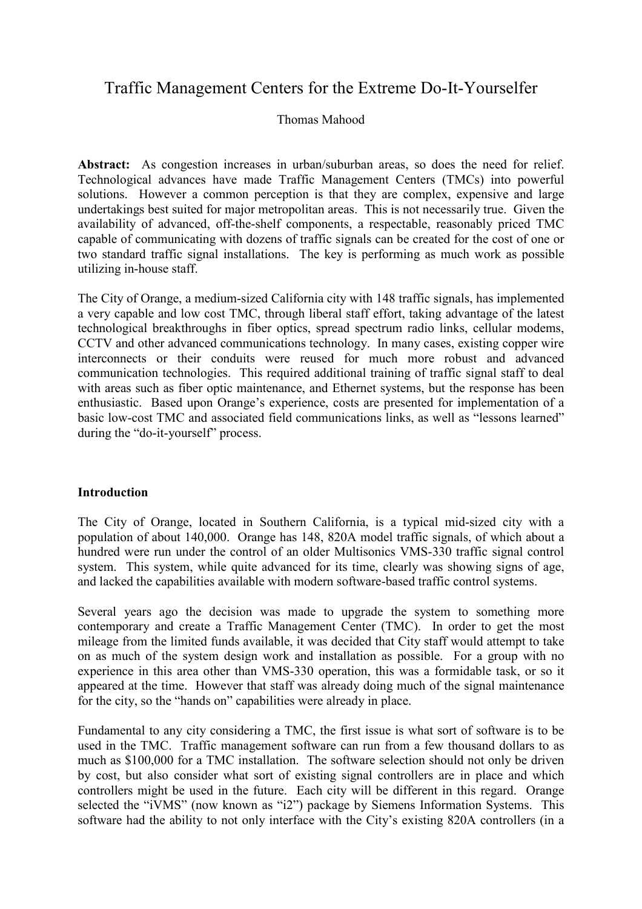# Traffic Management Centers for the Extreme Do-It-Yourselfer

## Thomas Mahood

**Abstract:** As congestion increases in urban/suburban areas, so does the need for relief. Technological advances have made Traffic Management Centers (TMCs) into powerful solutions. However a common perception is that they are complex, expensive and large undertakings best suited for major metropolitan areas. This is not necessarily true. Given the availability of advanced, off-the-shelf components, a respectable, reasonably priced TMC capable of communicating with dozens of traffic signals can be created for the cost of one or two standard traffic signal installations. The key is performing as much work as possible utilizing in-house staff.

The City of Orange, a medium-sized California city with 148 traffic signals, has implemented a very capable and low cost TMC, through liberal staff effort, taking advantage of the latest technological breakthroughs in fiber optics, spread spectrum radio links, cellular modems, CCTV and other advanced communications technology. In many cases, existing copper wire interconnects or their conduits were reused for much more robust and advanced communication technologies. This required additional training of traffic signal staff to deal with areas such as fiber optic maintenance, and Ethernet systems, but the response has been enthusiastic. Based upon Orange's experience, costs are presented for implementation of a basic low-cost TMC and associated field communications links, as well as "lessons learned" during the "do-it-yourself" process.

#### **Introduction**

The City of Orange, located in Southern California, is a typical mid-sized city with a population of about 140,000. Orange has 148, 820A model traffic signals, of which about a hundred were run under the control of an older Multisonics VMS-330 traffic signal control system. This system, while quite advanced for its time, clearly was showing signs of age, and lacked the capabilities available with modern software-based traffic control systems.

Several years ago the decision was made to upgrade the system to something more contemporary and create a Traffic Management Center (TMC). In order to get the most mileage from the limited funds available, it was decided that City staff would attempt to take on as much of the system design work and installation as possible. For a group with no experience in this area other than VMS-330 operation, this was a formidable task, or so it appeared at the time. However that staff was already doing much of the signal maintenance for the city, so the "hands on" capabilities were already in place.

Fundamental to any city considering a TMC, the first issue is what sort of software is to be used in the TMC. Traffic management software can run from a few thousand dollars to as much as \$100,000 for a TMC installation. The software selection should not only be driven by cost, but also consider what sort of existing signal controllers are in place and which controllers might be used in the future. Each city will be different in this regard. Orange selected the "iVMS" (now known as "i2") package by Siemens Information Systems. This software had the ability to not only interface with the City's existing 820A controllers (in a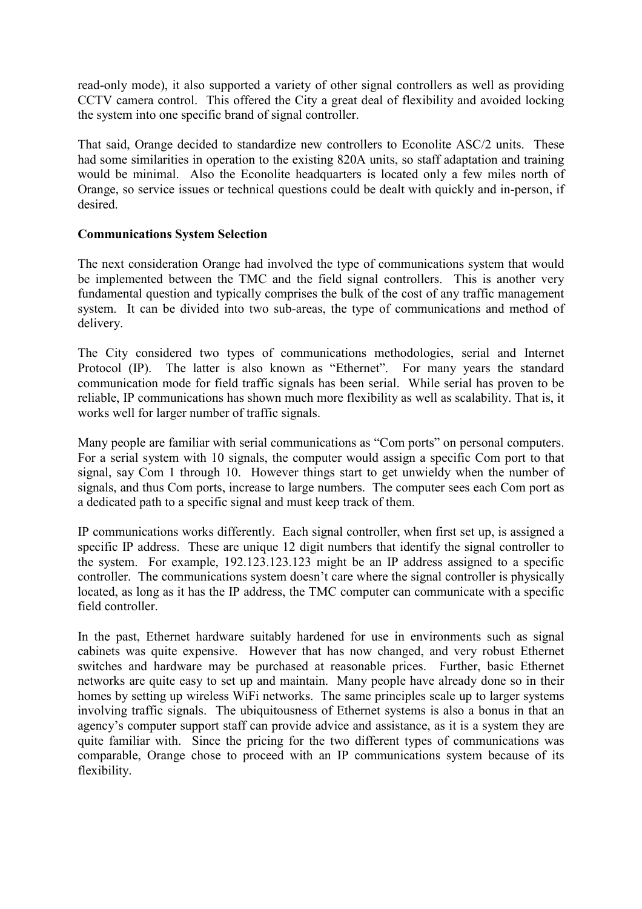read-only mode), it also supported a variety of other signal controllers as well as providing CCTV camera control. This offered the City a great deal of flexibility and avoided locking the system into one specific brand of signal controller.

That said, Orange decided to standardize new controllers to Econolite ASC/2 units. These had some similarities in operation to the existing 820A units, so staff adaptation and training would be minimal. Also the Econolite headquarters is located only a few miles north of Orange, so service issues or technical questions could be dealt with quickly and in-person, if desired.

## **Communications System Selection**

The next consideration Orange had involved the type of communications system that would be implemented between the TMC and the field signal controllers. This is another very fundamental question and typically comprises the bulk of the cost of any traffic management system. It can be divided into two sub-areas, the type of communications and method of delivery.

The City considered two types of communications methodologies, serial and Internet Protocol (IP). The latter is also known as "Ethernet". For many years the standard communication mode for field traffic signals has been serial. While serial has proven to be reliable, IP communications has shown much more flexibility as well as scalability. That is, it works well for larger number of traffic signals.

Many people are familiar with serial communications as "Com ports" on personal computers. For a serial system with 10 signals, the computer would assign a specific Com port to that signal, say Com 1 through 10. However things start to get unwieldy when the number of signals, and thus Com ports, increase to large numbers. The computer sees each Com port as a dedicated path to a specific signal and must keep track of them.

IP communications works differently. Each signal controller, when first set up, is assigned a specific IP address. These are unique 12 digit numbers that identify the signal controller to the system. For example, 192.123.123.123 might be an IP address assigned to a specific controller. The communications system doesn't care where the signal controller is physically located, as long as it has the IP address, the TMC computer can communicate with a specific field controller.

In the past, Ethernet hardware suitably hardened for use in environments such as signal cabinets was quite expensive. However that has now changed, and very robust Ethernet switches and hardware may be purchased at reasonable prices. Further, basic Ethernet networks are quite easy to set up and maintain. Many people have already done so in their homes by setting up wireless WiFi networks. The same principles scale up to larger systems involving traffic signals. The ubiquitousness of Ethernet systems is also a bonus in that an agency's computer support staff can provide advice and assistance, as it is a system they are quite familiar with. Since the pricing for the two different types of communications was comparable, Orange chose to proceed with an IP communications system because of its flexibility.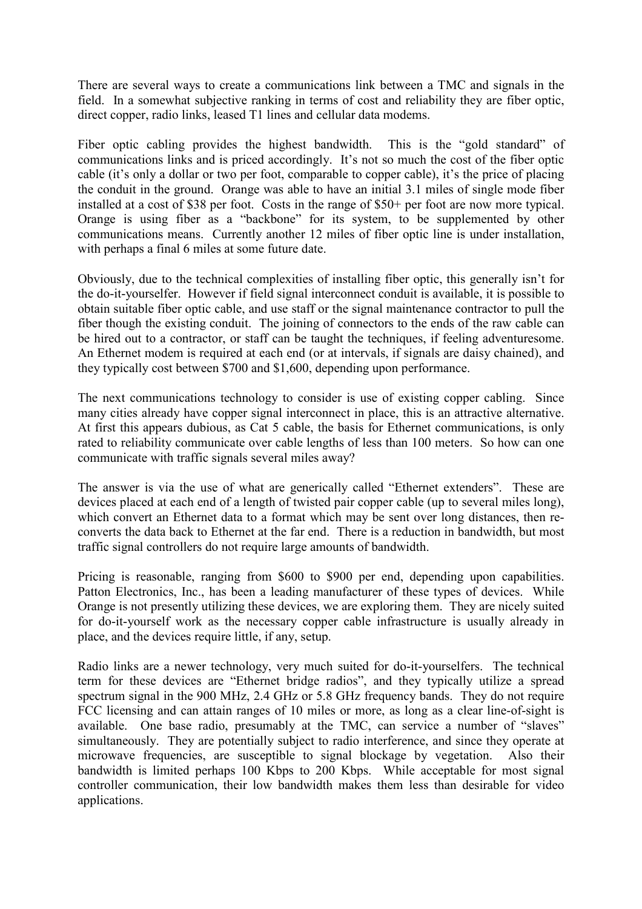There are several ways to create a communications link between a TMC and signals in the field. In a somewhat subjective ranking in terms of cost and reliability they are fiber optic, direct copper, radio links, leased T1 lines and cellular data modems.

Fiber optic cabling provides the highest bandwidth. This is the "gold standard" of communications links and is priced accordingly. It's not so much the cost of the fiber optic cable (it's only a dollar or two per foot, comparable to copper cable), it's the price of placing the conduit in the ground. Orange was able to have an initial 3.1 miles of single mode fiber installed at a cost of \$38 per foot. Costs in the range of \$50+ per foot are now more typical. Orange is using fiber as a "backbone" for its system, to be supplemented by other communications means. Currently another 12 miles of fiber optic line is under installation, with perhaps a final 6 miles at some future date.

Obviously, due to the technical complexities of installing fiber optic, this generally isn't for the do-it-yourselfer. However if field signal interconnect conduit is available, it is possible to obtain suitable fiber optic cable, and use staff or the signal maintenance contractor to pull the fiber though the existing conduit. The joining of connectors to the ends of the raw cable can be hired out to a contractor, or staff can be taught the techniques, if feeling adventuresome. An Ethernet modem is required at each end (or at intervals, if signals are daisy chained), and they typically cost between \$700 and \$1,600, depending upon performance.

The next communications technology to consider is use of existing copper cabling. Since many cities already have copper signal interconnect in place, this is an attractive alternative. At first this appears dubious, as Cat 5 cable, the basis for Ethernet communications, is only rated to reliability communicate over cable lengths of less than 100 meters. So how can one communicate with traffic signals several miles away?

The answer is via the use of what are generically called "Ethernet extenders". These are devices placed at each end of a length of twisted pair copper cable (up to several miles long), which convert an Ethernet data to a format which may be sent over long distances, then reconverts the data back to Ethernet at the far end. There is a reduction in bandwidth, but most traffic signal controllers do not require large amounts of bandwidth.

Pricing is reasonable, ranging from \$600 to \$900 per end, depending upon capabilities. Patton Electronics, Inc., has been a leading manufacturer of these types of devices. While Orange is not presently utilizing these devices, we are exploring them. They are nicely suited for do-it-yourself work as the necessary copper cable infrastructure is usually already in place, and the devices require little, if any, setup.

Radio links are a newer technology, very much suited for do-it-yourselfers. The technical term for these devices are "Ethernet bridge radios", and they typically utilize a spread spectrum signal in the 900 MHz, 2.4 GHz or 5.8 GHz frequency bands. They do not require FCC licensing and can attain ranges of 10 miles or more, as long as a clear line-of-sight is available. One base radio, presumably at the TMC, can service a number of "slaves" simultaneously. They are potentially subject to radio interference, and since they operate at microwave frequencies, are susceptible to signal blockage by vegetation. Also their bandwidth is limited perhaps 100 Kbps to 200 Kbps. While acceptable for most signal controller communication, their low bandwidth makes them less than desirable for video applications.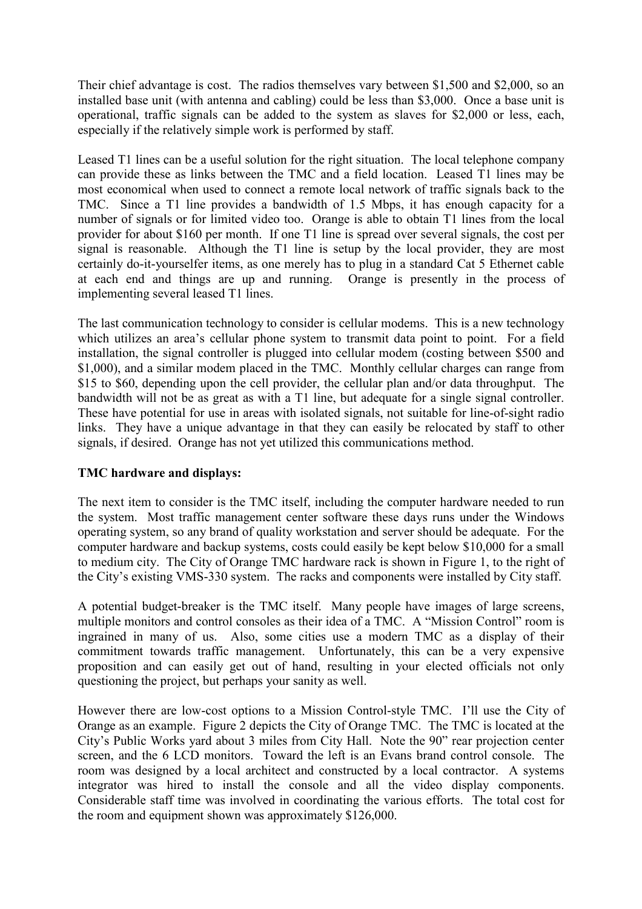Their chief advantage is cost. The radios themselves vary between \$1,500 and \$2,000, so an installed base unit (with antenna and cabling) could be less than \$3,000. Once a base unit is operational, traffic signals can be added to the system as slaves for \$2,000 or less, each, especially if the relatively simple work is performed by staff.

Leased T1 lines can be a useful solution for the right situation. The local telephone company can provide these as links between the TMC and a field location. Leased T1 lines may be most economical when used to connect a remote local network of traffic signals back to the TMC. Since a T1 line provides a bandwidth of 1.5 Mbps, it has enough capacity for a number of signals or for limited video too. Orange is able to obtain T1 lines from the local provider for about \$160 per month. If one T1 line is spread over several signals, the cost per signal is reasonable. Although the T1 line is setup by the local provider, they are most certainly do-it-yourselfer items, as one merely has to plug in a standard Cat 5 Ethernet cable at each end and things are up and running. Orange is presently in the process of implementing several leased T1 lines.

The last communication technology to consider is cellular modems. This is a new technology which utilizes an area's cellular phone system to transmit data point to point. For a field installation, the signal controller is plugged into cellular modem (costing between \$500 and \$1,000), and a similar modem placed in the TMC. Monthly cellular charges can range from \$15 to \$60, depending upon the cell provider, the cellular plan and/or data throughput. The bandwidth will not be as great as with a T1 line, but adequate for a single signal controller. These have potential for use in areas with isolated signals, not suitable for line-of-sight radio links. They have a unique advantage in that they can easily be relocated by staff to other signals, if desired. Orange has not yet utilized this communications method.

## **TMC hardware and displays:**

The next item to consider is the TMC itself, including the computer hardware needed to run the system. Most traffic management center software these days runs under the Windows operating system, so any brand of quality workstation and server should be adequate. For the computer hardware and backup systems, costs could easily be kept below \$10,000 for a small to medium city. The City of Orange TMC hardware rack is shown in Figure 1, to the right of the City's existing VMS-330 system. The racks and components were installed by City staff.

A potential budget-breaker is the TMC itself. Many people have images of large screens, multiple monitors and control consoles as their idea of a TMC. A "Mission Control" room is ingrained in many of us. Also, some cities use a modern TMC as a display of their commitment towards traffic management. Unfortunately, this can be a very expensive proposition and can easily get out of hand, resulting in your elected officials not only questioning the project, but perhaps your sanity as well.

However there are low-cost options to a Mission Control-style TMC. I'll use the City of Orange as an example. Figure 2 depicts the City of Orange TMC. The TMC is located at the City's Public Works yard about 3 miles from City Hall. Note the 90" rear projection center screen, and the 6 LCD monitors. Toward the left is an Evans brand control console. The room was designed by a local architect and constructed by a local contractor. A systems integrator was hired to install the console and all the video display components. Considerable staff time was involved in coordinating the various efforts. The total cost for the room and equipment shown was approximately \$126,000.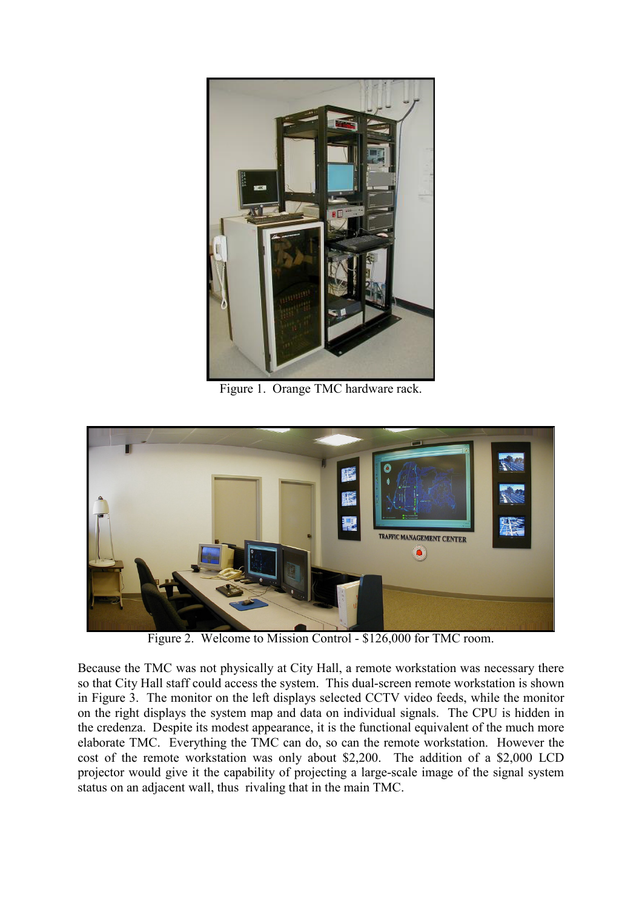

Figure 1. Orange TMC hardware rack.



Figure 2. Welcome to Mission Control - \$126,000 for TMC room.

Because the TMC was not physically at City Hall, a remote workstation was necessary there so that City Hall staff could access the system. This dual-screen remote workstation is shown in Figure 3. The monitor on the left displays selected CCTV video feeds, while the monitor on the right displays the system map and data on individual signals. The CPU is hidden in the credenza. Despite its modest appearance, it is the functional equivalent of the much more elaborate TMC. Everything the TMC can do, so can the remote workstation. However the cost of the remote workstation was only about \$2,200. The addition of a \$2,000 LCD projector would give it the capability of projecting a large-scale image of the signal system status on an adjacent wall, thus rivaling that in the main TMC.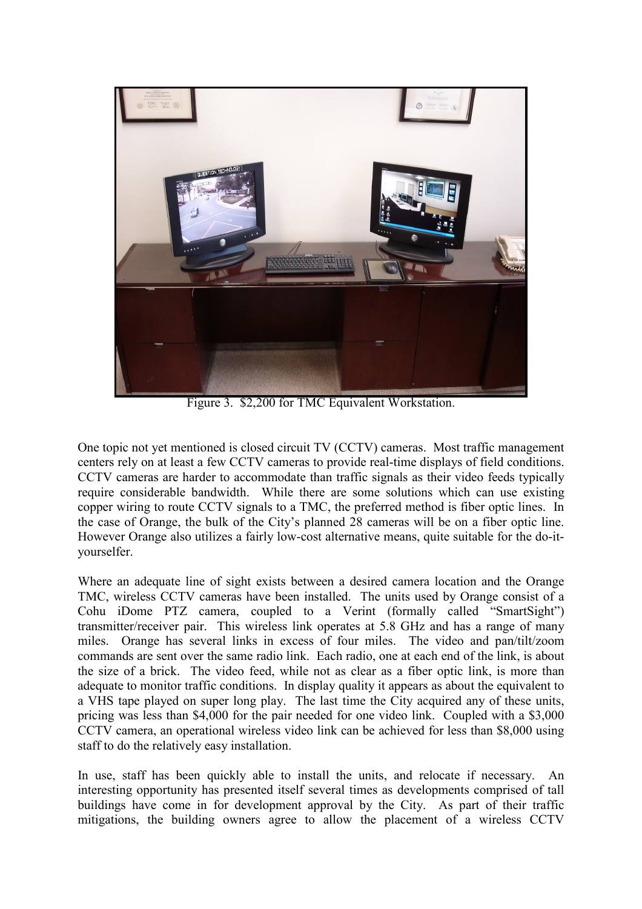

Figure 3. \$2,200 for TMC Equivalent Workstation.

One topic not yet mentioned is closed circuit TV (CCTV) cameras. Most traffic management centers rely on at least a few CCTV cameras to provide real-time displays of field conditions. CCTV cameras are harder to accommodate than traffic signals as their video feeds typically require considerable bandwidth. While there are some solutions which can use existing copper wiring to route CCTV signals to a TMC, the preferred method is fiber optic lines. In the case of Orange, the bulk of the City's planned 28 cameras will be on a fiber optic line. However Orange also utilizes a fairly low-cost alternative means, quite suitable for the do-ityourselfer.

Where an adequate line of sight exists between a desired camera location and the Orange TMC, wireless CCTV cameras have been installed. The units used by Orange consist of a Cohu iDome PTZ camera, coupled to a Verint (formally called "SmartSight") transmitter/receiver pair. This wireless link operates at 5.8 GHz and has a range of many miles. Orange has several links in excess of four miles. The video and pan/tilt/zoom commands are sent over the same radio link. Each radio, one at each end of the link, is about the size of a brick. The video feed, while not as clear as a fiber optic link, is more than adequate to monitor traffic conditions. In display quality it appears as about the equivalent to a VHS tape played on super long play. The last time the City acquired any of these units, pricing was less than \$4,000 for the pair needed for one video link. Coupled with a \$3,000 CCTV camera, an operational wireless video link can be achieved for less than \$8,000 using staff to do the relatively easy installation.

In use, staff has been quickly able to install the units, and relocate if necessary. An interesting opportunity has presented itself several times as developments comprised of tall buildings have come in for development approval by the City. As part of their traffic mitigations, the building owners agree to allow the placement of a wireless CCTV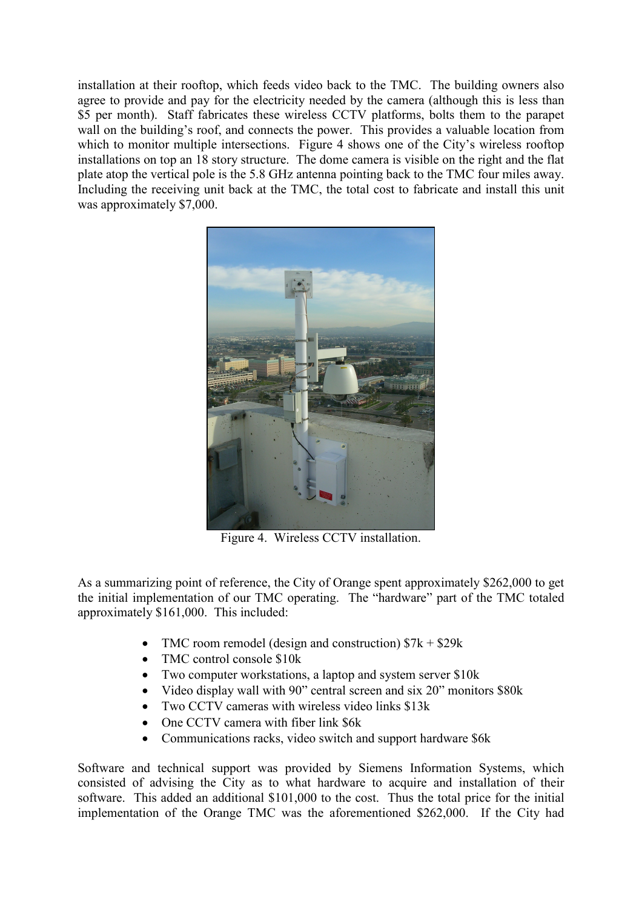installation at their rooftop, which feeds video back to the TMC. The building owners also agree to provide and pay for the electricity needed by the camera (although this is less than \$5 per month). Staff fabricates these wireless CCTV platforms, bolts them to the parapet wall on the building's roof, and connects the power. This provides a valuable location from which to monitor multiple intersections. Figure 4 shows one of the City's wireless rooftop installations on top an 18 story structure. The dome camera is visible on the right and the flat plate atop the vertical pole is the 5.8 GHz antenna pointing back to the TMC four miles away. Including the receiving unit back at the TMC, the total cost to fabricate and install this unit was approximately \$7,000.



Figure 4. Wireless CCTV installation.

As a summarizing point of reference, the City of Orange spent approximately \$262,000 to get the initial implementation of our TMC operating. The "hardware" part of the TMC totaled approximately \$161,000. This included:

- TMC room remodel (design and construction)  $$7k + $29k$
- TMC control console \$10k
- Two computer workstations, a laptop and system server \$10k
- Video display wall with 90" central screen and six 20" monitors \$80k
- Two CCTV cameras with wireless video links \$13k
- One CCTV camera with fiber link \$6k
- Communications racks, video switch and support hardware \$6k

Software and technical support was provided by Siemens Information Systems, which consisted of advising the City as to what hardware to acquire and installation of their software. This added an additional \$101,000 to the cost. Thus the total price for the initial implementation of the Orange TMC was the aforementioned \$262,000. If the City had